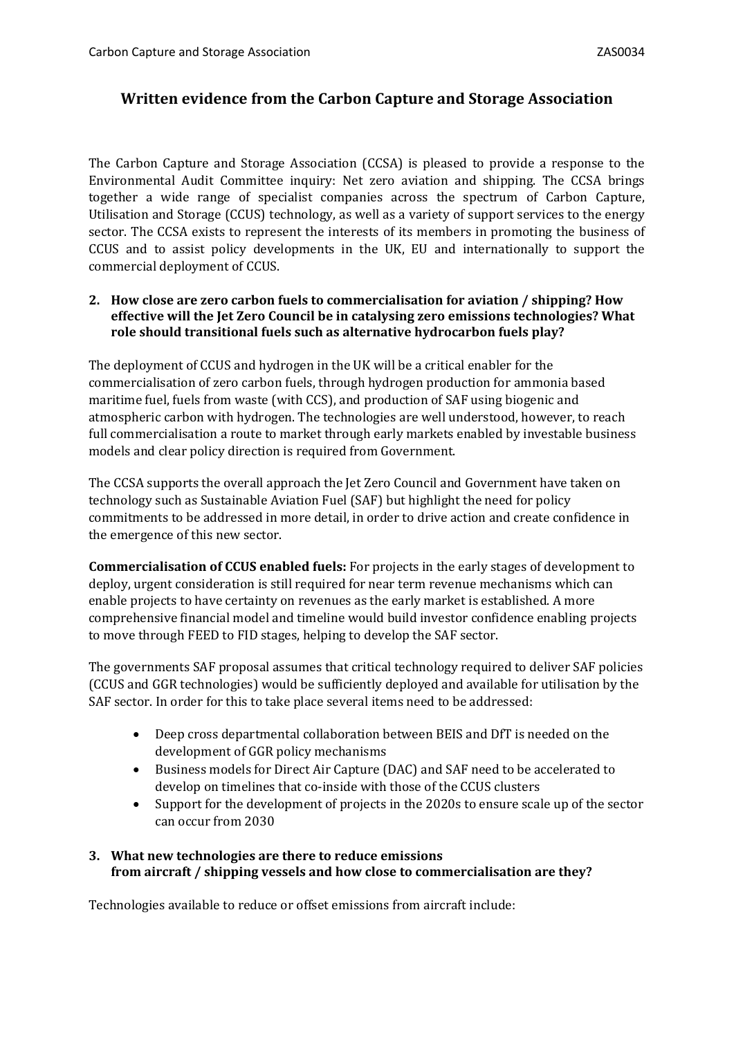# **Written evidence from the Carbon Capture and Storage Association**

The Carbon Capture and Storage Association (CCSA) is pleased to provide a response to the Environmental Audit Committee inquiry: Net zero aviation and shipping. The CCSA brings together a wide range of specialist companies across the spectrum of Carbon Capture, Utilisation and Storage (CCUS) technology, as well as a variety of support services to the energy sector. The CCSA exists to represent the interests of its members in promoting the business of CCUS and to assist policy developments in the UK, EU and internationally to support the commercial deployment of CCUS.

#### **2. How close are zero carbon fuels to commercialisation for aviation / shipping? How effective will the Jet Zero Council be in catalysing zero emissions technologies? What role should transitional fuels such as alternative hydrocarbon fuels play?**

The deployment of CCUS and hydrogen in the UK will be a critical enabler for the commercialisation of zero carbon fuels, through hydrogen production for ammonia based maritime fuel, fuels from waste (with CCS), and production of SAF using biogenic and atmospheric carbon with hydrogen. The technologies are well understood, however, to reach full commercialisation a route to market through early markets enabled by investable business models and clear policy direction is required from Government.

The CCSA supports the overall approach the Jet Zero Council and Government have taken on technology such as Sustainable Aviation Fuel (SAF) but highlight the need for policy commitments to be addressed in more detail, in order to drive action and create confidence in the emergence of this new sector.

**Commercialisation of CCUS enabled fuels:** For projects in the early stages of development to deploy, urgent consideration is still required for near term revenue mechanisms which can enable projects to have certainty on revenues as the early market is established. A more comprehensive financial model and timeline would build investor confidence enabling projects to move through FEED to FID stages, helping to develop the SAF sector.

The governments SAF proposal assumes that critical technology required to deliver SAF policies (CCUS and GGR technologies) would be sufficiently deployed and available for utilisation by the SAF sector. In order for this to take place several items need to be addressed:

- Deep cross departmental collaboration between BEIS and DfT is needed on the development of GGR policy mechanisms
- Business models for Direct Air Capture (DAC) and SAF need to be accelerated to develop on timelines that co-inside with those of the CCUS clusters
- Support for the development of projects in the 2020s to ensure scale up of the sector can occur from 2030

#### **3. What new technologies are there to reduce emissions from aircraft / shipping vessels and how close to commercialisation are they?**

Technologies available to reduce or offset emissions from aircraft include: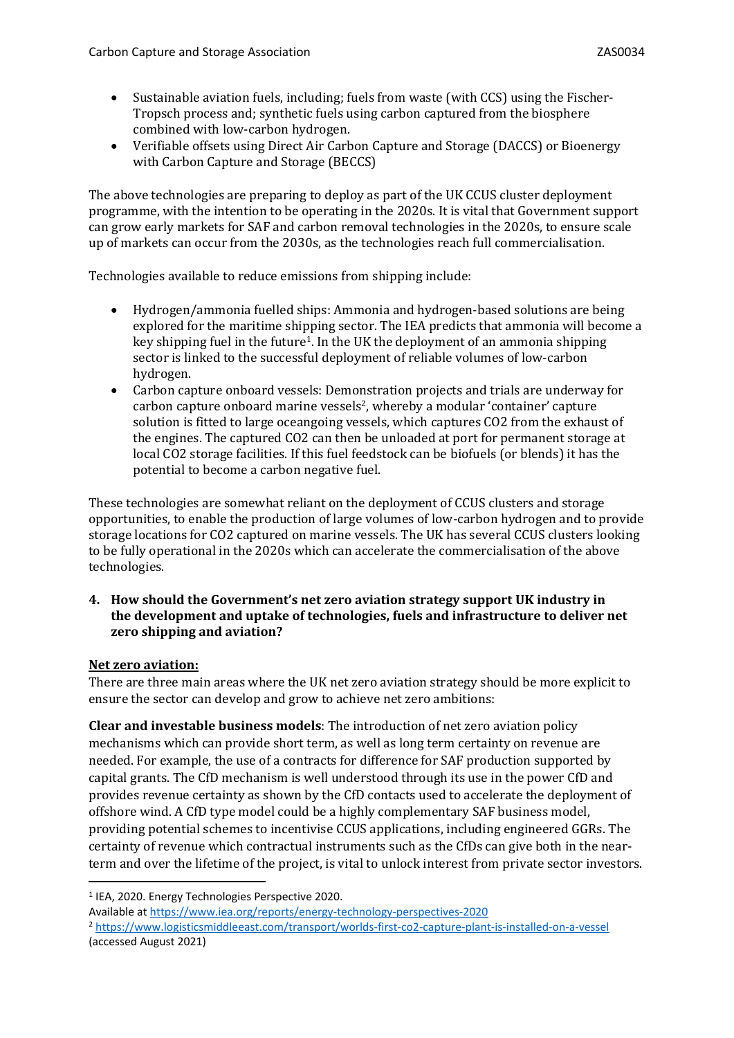- Sustainable aviation fuels, including; fuels from waste (with CCS) using the Fischer-Tropsch process and; synthetic fuels using carbon captured from the biosphere combined with low-carbon hydrogen.
- Verifiable offsets using Direct Air Carbon Capture and Storage (DACCS) or Bioenergy with Carbon Capture and Storage (BECCS)

The above technologies are preparing to deploy as part of the UK CCUS cluster deployment programme, with the intention to be operating in the 2020s. It is vital that Government support can grow early markets for SAF and carbon removal technologies in the 2020s, to ensure scale up of markets can occur from the 2030s, as the technologies reach full commercialisation.

Technologies available to reduce emissions from shipping include:

- Hydrogen/ammonia fuelled ships: Ammonia and hydrogen-based solutions are being explored for the maritime shipping sector. The IEA predicts that ammonia will become a key shipping fuel in the future<sup>1</sup>. In the UK the deployment of an ammonia shipping sector is linked to the successful deployment of reliable volumes of low-carbon hydrogen.
- Carbon capture onboard vessels: Demonstration projects and trials are underway for carbon capture onboard marine vessels<sup>2</sup>, whereby a modular 'container' capture solution is fitted to large oceangoing vessels, which captures CO2 from the exhaust of the engines. The captured CO2 can then be unloaded at port for permanent storage at local CO2 storage facilities. If this fuel feedstock can be biofuels (or blends) it has the potential to become a carbon negative fuel.

These technologies are somewhat reliant on the deployment of CCUS clusters and storage opportunities, to enable the production of large volumes of low-carbon hydrogen and to provide storage locations for CO2 captured on marine vessels. The UK has several CCUS clusters looking to be fully operational in the 2020s which can accelerate the commercialisation of the above technologies.

**4. How should the Government's net zero aviation strategy support UK industry in the development and uptake of technologies, fuels and infrastructure to deliver net zero shipping and aviation?**

#### **Net zero aviation:**

There are three main areas where the UK net zero aviation strategy should be more explicit to ensure the sector can develop and grow to achieve net zero ambitions:

**Clear and investable business models**: The introduction of net zero aviation policy mechanisms which can provide short term, as well as long term certainty on revenue are needed. For example, the use of a contracts for difference for SAF production supported by capital grants. The CfD mechanism is well understood through its use in the power CfD and provides revenue certainty as shown by the CfD contacts used to accelerate the deployment of offshore wind. A CfD type model could be a highly complementary SAF business model, providing potential schemes to incentivise CCUS applications, including engineered GGRs. The certainty of revenue which contractual instruments such as the CfDs can give both in the nearterm and over the lifetime of the project, is vital to unlock interest from private sector investors.

<sup>1</sup> IEA, 2020. Energy Technologies Perspective 2020.

Available at <https://www.iea.org/reports/energy-technology-perspectives-2020> <sup>2</sup> <https://www.logisticsmiddleeast.com/transport/worlds-first-co2-capture-plant-is-installed-on-a-vessel> (accessed August 2021)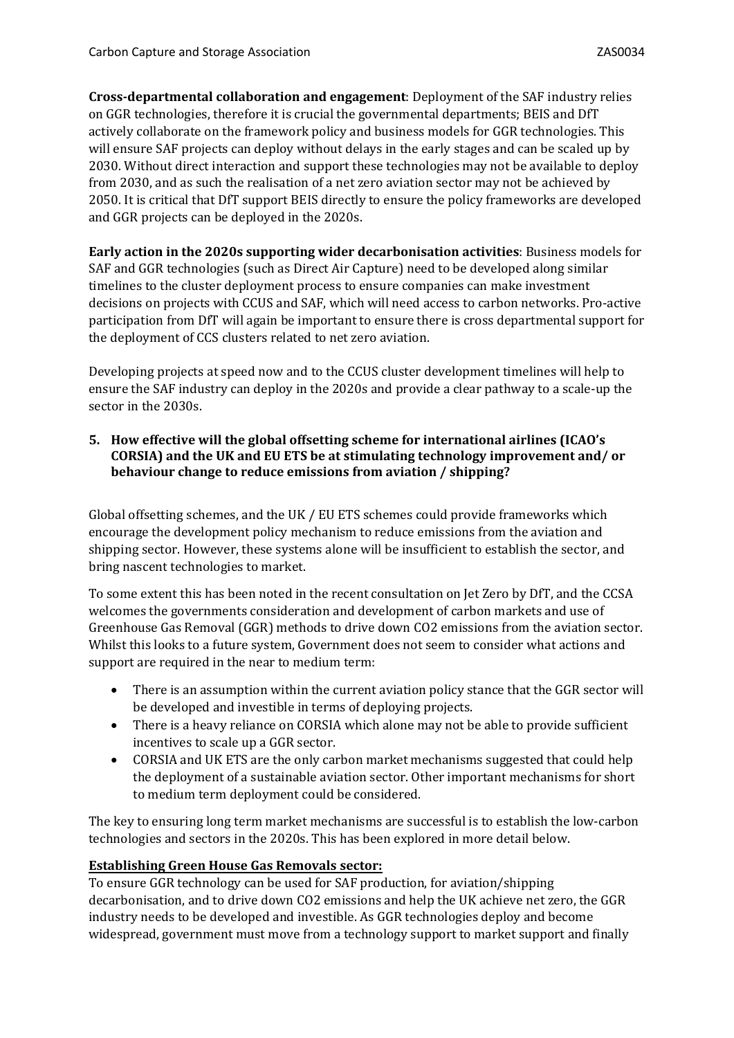**Cross-departmental collaboration and engagement**: Deployment of the SAF industry relies on GGR technologies, therefore it is crucial the governmental departments; BEIS and DfT actively collaborate on the framework policy and business models for GGR technologies. This will ensure SAF projects can deploy without delays in the early stages and can be scaled up by 2030. Without direct interaction and support these technologies may not be available to deploy from 2030, and as such the realisation of a net zero aviation sector may not be achieved by 2050. It is critical that DfT support BEIS directly to ensure the policy frameworks are developed and GGR projects can be deployed in the 2020s.

**Early action in the 2020s supporting wider decarbonisation activities**: Business models for SAF and GGR technologies (such as Direct Air Capture) need to be developed along similar timelines to the cluster deployment process to ensure companies can make investment decisions on projects with CCUS and SAF, which will need access to carbon networks. Pro-active participation from DfT will again be important to ensure there is cross departmental support for the deployment of CCS clusters related to net zero aviation.

Developing projects at speed now and to the CCUS cluster development timelines will help to ensure the SAF industry can deploy in the 2020s and provide a clear pathway to a scale-up the sector in the 2030s.

### **5. How effective will the global offsetting scheme for international airlines (ICAO's CORSIA) and the UK and EU ETS be at stimulating technology improvement and/ or behaviour change to reduce emissions from aviation / shipping?**

Global offsetting schemes, and the UK / EU ETS schemes could provide frameworks which encourage the development policy mechanism to reduce emissions from the aviation and shipping sector. However, these systems alone will be insufficient to establish the sector, and bring nascent technologies to market.

To some extent this has been noted in the recent consultation on Jet Zero by DfT, and the CCSA welcomes the governments consideration and development of carbon markets and use of Greenhouse Gas Removal (GGR) methods to drive down CO2 emissions from the aviation sector. Whilst this looks to a future system, Government does not seem to consider what actions and support are required in the near to medium term:

- There is an assumption within the current aviation policy stance that the GGR sector will be developed and investible in terms of deploying projects.
- There is a heavy reliance on CORSIA which alone may not be able to provide sufficient incentives to scale up a GGR sector.
- CORSIA and UK ETS are the only carbon market mechanisms suggested that could help the deployment of a sustainable aviation sector. Other important mechanisms for short to medium term deployment could be considered.

The key to ensuring long term market mechanisms are successful is to establish the low-carbon technologies and sectors in the 2020s. This has been explored in more detail below.

## **Establishing Green House Gas Removals sector:**

To ensure GGR technology can be used for SAF production, for aviation/shipping decarbonisation, and to drive down CO2 emissions and help the UK achieve net zero, the GGR industry needs to be developed and investible. As GGR technologies deploy and become widespread, government must move from a technology support to market support and finally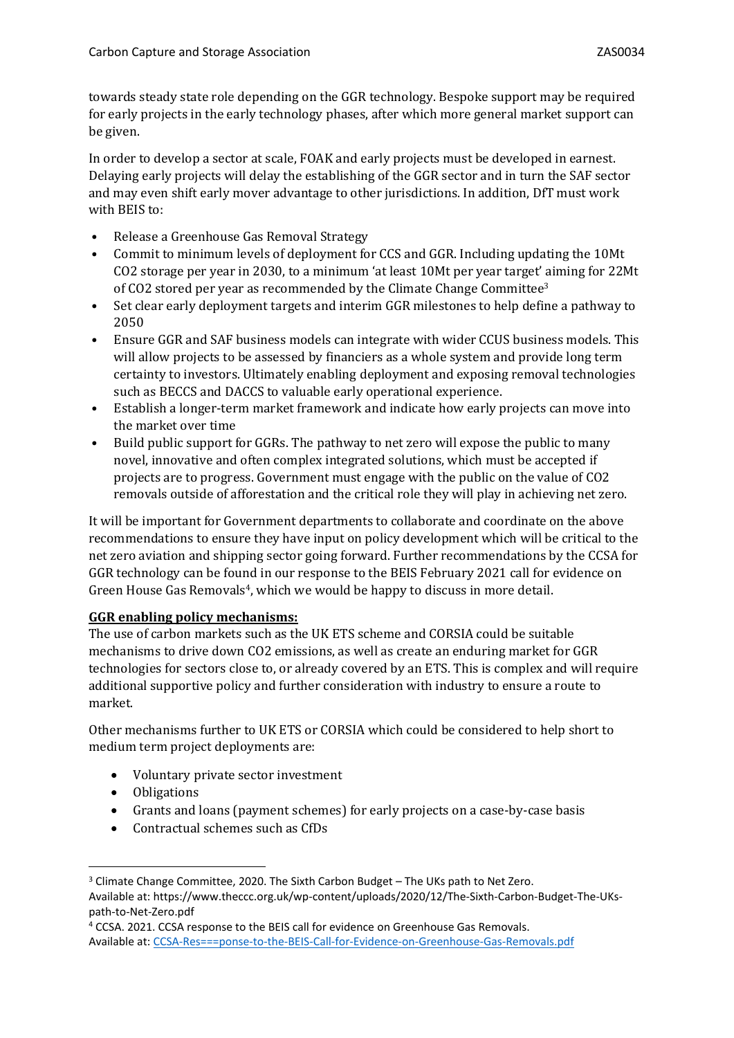towards steady state role depending on the GGR technology. Bespoke support may be required for early projects in the early technology phases, after which more general market support can be given.

In order to develop a sector at scale, FOAK and early projects must be developed in earnest. Delaying early projects will delay the establishing of the GGR sector and in turn the SAF sector and may even shift early mover advantage to other jurisdictions. In addition, DfT must work with BEIS to:

- Release a Greenhouse Gas Removal Strategy
- Commit to minimum levels of deployment for CCS and GGR. Including updating the 10Mt CO2 storage per year in 2030, to a minimum 'at least 10Mt per year target' aiming for 22Mt of CO2 stored per year as recommended by the Climate Change Committee<sup>3</sup>
- Set clear early deployment targets and interim GGR milestones to help define a pathway to 2050
- Ensure GGR and SAF business models can integrate with wider CCUS business models. This will allow projects to be assessed by financiers as a whole system and provide long term certainty to investors. Ultimately enabling deployment and exposing removal technologies such as BECCS and DACCS to valuable early operational experience.
- Establish a longer-term market framework and indicate how early projects can move into the market over time
- Build public support for GGRs. The pathway to net zero will expose the public to many novel, innovative and often complex integrated solutions, which must be accepted if projects are to progress. Government must engage with the public on the value of CO2 removals outside of afforestation and the critical role they will play in achieving net zero.

It will be important for Government departments to collaborate and coordinate on the above recommendations to ensure they have input on policy development which will be critical to the net zero aviation and shipping sector going forward. Further recommendations by the CCSA for GGR technology can be found in our response to the BEIS February 2021 call for evidence on Green House Gas Removals<sup>4</sup>, which we would be happy to discuss in more detail.

## **GGR enabling policy mechanisms:**

The use of carbon markets such as the UK ETS scheme and CORSIA could be suitable mechanisms to drive down CO2 emissions, as well as create an enduring market for GGR technologies for sectors close to, or already covered by an ETS. This is complex and will require additional supportive policy and further consideration with industry to ensure a route to market.

Other mechanisms further to UK ETS or CORSIA which could be considered to help short to medium term project deployments are:

- Voluntary private sector investment
- Obligations
- Grants and loans (payment schemes) for early projects on a case-by-case basis
- Contractual schemes such as CfDs

<sup>&</sup>lt;sup>3</sup> Climate Change Committee, 2020. The Sixth Carbon Budget – The UKs path to Net Zero. Available at: https://www.theccc.org.uk/wp-content/uploads/2020/12/The-Sixth-Carbon-Budget-The-UKspath-to-Net-Zero.pdf

<sup>4</sup> CCSA. 2021. CCSA response to the BEIS call for evidence on Greenhouse Gas Removals. Available at: [CCSA-Res===ponse-to-the-BEIS-Call-for-Evidence-on-Greenhouse-Gas-Removals.pdf](file:///C:/Users/GeorginaKatzaros/Downloads/CCSA-Response-to-the-BEIS-Call-for-Evidence-on-Greenhouse-Gas-Removals.pdf)